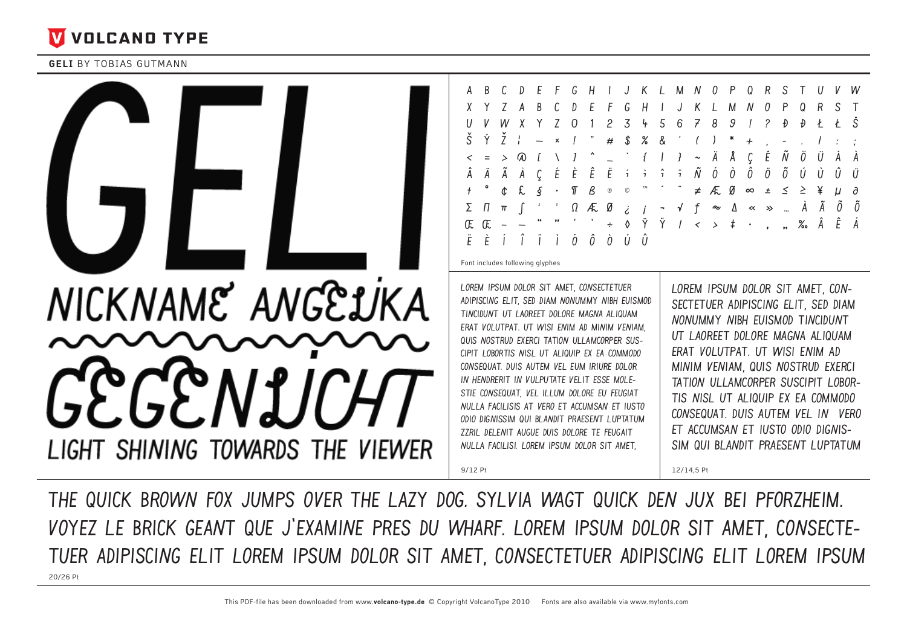

**GELI BY TOBIAS GUTMANN** 



The Quick Brown Fox Jumps Over The Lazy Dog. Sylvia Wagt Quick Den Jux Bei Pforzheim. Voyez Le Brick Geant Que J'examine Pres Du Wharf. Lorem Ipsum Dolor Sit Amet, Consectetuer Adipiscing Elit Lorem Ipsum Dolor Sit Amet, Consectetuer Adipiscing Elit Lorem Ipsum 20/26 Pt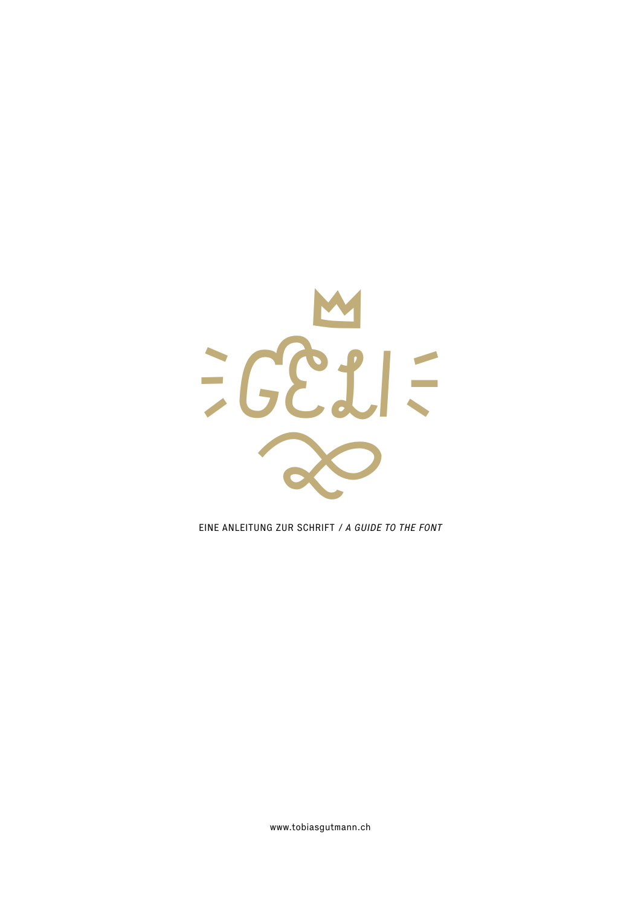

EINE ANLEITUNG ZUR SCHRIFT / A GUIDE TO THE FONT

www.tobiasgutmann.ch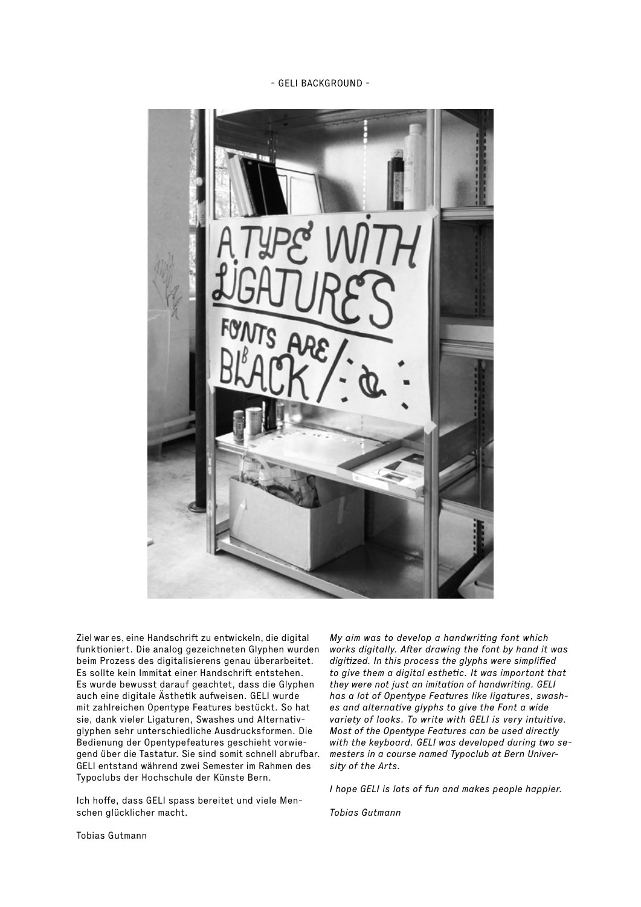- gelI Background -



Ziel war es, eine Handschrift zu entwickeln, die digital funktioniert. Die analog gezeichneten Glyphen wurden beim Prozess des digitalisierens genau überarbeitet. Es sollte kein Immitat einer Handschrift entstehen. Es wurde bewusst darauf geachtet, dass die Glyphen auch eine digitale Ästhetik aufweisen. GELI wurde mit zahlreichen Opentype Features bestückt. So hat sie, dank vieler Ligaturen, Swashes und Alternativglyphen sehr unterschiedliche Ausdrucksformen. Die Bedienung der Opentypefeatures geschieht vorwiegend über die Tastatur. Sie sind somit schnell abrufbar. GELI entstand während zwei Semester im Rahmen des [Typoclubs](http://www.typoclub.ch) der [Hochschule der Künste Bern](http://www.hkb.bfh.ch/).

Ich hoffe, dass GELI spass bereitet und viele Menschen glücklicher macht.

My aim was to develop a handwriting font which works digitally. After drawing the font by hand it was digitized. In this process the glyphs were simplified to give them a digital esthetic. It was important that they were not just an imitation of handwriting. GELI has a lot of Opentype Features like ligatures, swashes and alternative glyphs to give the Font a wide variety of looks. To write with GELI is very intuitive. Most of the Opentype Features can be used directly with the keyboard. GELI was developed during two semesters in a course named [Typoclub](http://www.typoclub.ch) at [Bern Univer](http://www.hkb.bfh.ch/)[sity of the Arts.](http://www.hkb.bfh.ch/) 

I hope GELI is lots of fun and makes people happier.

Tobias Gutman[n](http://tobiasgutmann.ch/)

[Tobias Gutmann](http://tobiasgutmann.ch/)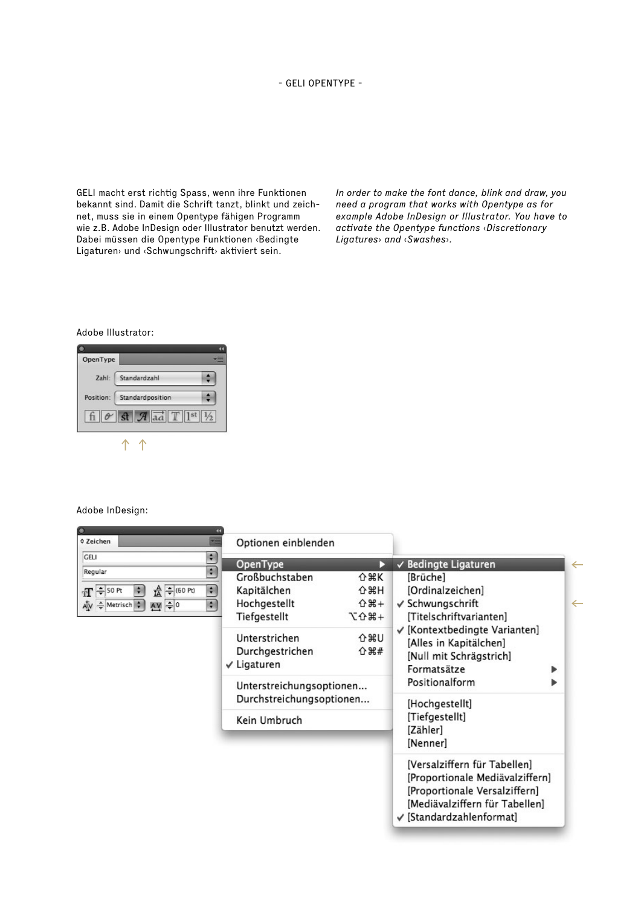GELI macht erst richtig Spass, wenn ihre Funktionen bekannt sind. Damit die Schrift tanzt, blinkt und zeichnet, muss sie in einem Opentype fähigen Programm wie z.B. Adobe InDesign oder Illustrator benutzt werden. Dabei müssen die Opentype Funktionen ‹Bedingte Ligaturen› und ‹Schwungschrift› aktiviert sein.

In order to make the font dance, blink and draw, you need a program that works with Opentype as for example Adobe InDesign or Illustrator. You have to activate the Opentype functions ‹Discretionary Ligatures› and ‹Swashes›.

## Adobe Illustrator:

| OpenType  |                              |  |
|-----------|------------------------------|--|
| Zahl:     | Standardzahl                 |  |
| Position: | Standardposition             |  |
|           | st $\mathcal{A}$ and $T$ 1st |  |
|           |                              |  |

## Adobe InDesign:

| <b>≎ Zeichen</b>                                                                                                                 | Optionen einblenden                                                                                                                                           |                                                                                    |                                                                                                                                                                                           |                                   |
|----------------------------------------------------------------------------------------------------------------------------------|---------------------------------------------------------------------------------------------------------------------------------------------------------------|------------------------------------------------------------------------------------|-------------------------------------------------------------------------------------------------------------------------------------------------------------------------------------------|-----------------------------------|
| <b>GELI</b><br>Regular<br>$T =$ 50 Pt<br>$\frac{A}{IA}$ $\frac{1}{I}$ (60 Pt)<br>$AY = 0$<br>$A[V - \frac{1}{r}$ Metrisch $\div$ | ÷.<br>OpenType<br>÷<br>Großbuchstaben<br>÷.<br>Kapitälchen<br>Hochgestellt<br>÷<br>Tiefgestellt<br>Unterstrichen<br>Durchgestrichen<br>$\checkmark$ Ligaturen | D<br><b>☆ 米K</b><br><b>介出H</b><br>$0$ $# +$<br>+867<br><b>O %D</b><br><b>☆ 34#</b> | √ Bedingte Ligaturen<br>[Brüche]<br>[Ordinalzeichen]<br>√ Schwungschrift<br>[Titelschriftvarianten]<br>√ [Kontextbedingte Varianten]<br>[Alles in Kapitälchen]<br>[Null mit Schrägstrich] | $\leftarrow$<br>$\leftarrow$<br>▶ |
|                                                                                                                                  | Unterstreichungsoptionen<br>Durchstreichungsoptionen<br>Kein Umbruch                                                                                          |                                                                                    | Formatsätze<br>Positionalform<br>▶<br>[Hochgestellt]<br>[Tiefgestellt]<br>[Zähler]<br>[Nenner]                                                                                            |                                   |
|                                                                                                                                  |                                                                                                                                                               |                                                                                    | [Versalziffern für Tabellen]<br>[Proportionale Mediävalziffern]<br>[Proportionale Versalziffern]<br>[Mediävalziffern für Tabellen]<br>√ [Standardzahlenformat]                            |                                   |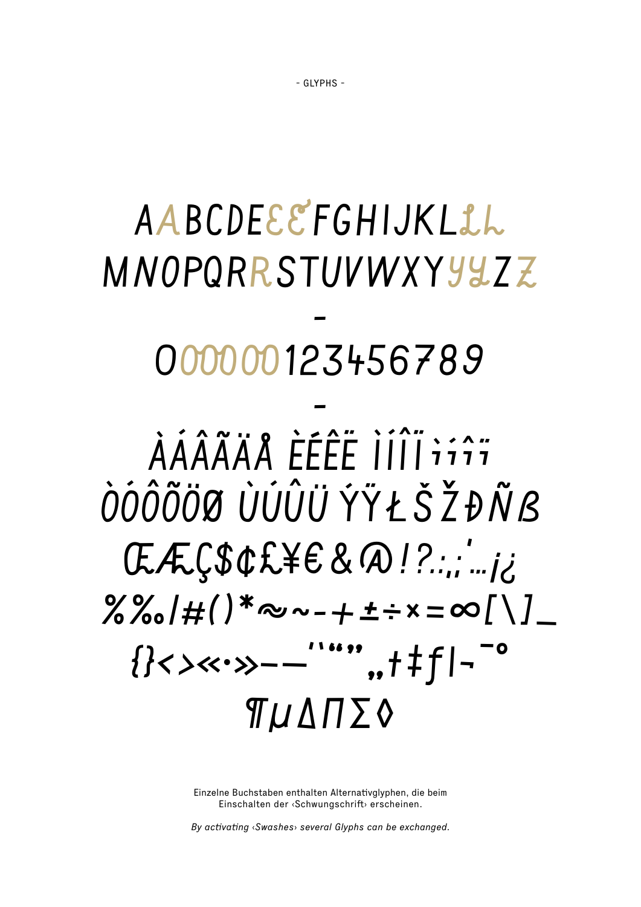## AABCDEEEFGHIJKLLL MNOPORRSTUVWXYYYZ 000000123456789 ÀÁÂÃÄA ÈÉÊË IIII iiî ÒÓÔÕÖØ ÙÚÛÜ ÝŸŁŠŽĐÑB  $G.E.C.S.C.E.E.E.S. Q.I?$  $\% \frac{8}{10}$  /#()\*~~-+±÷×=∞[\]\_ {} <><<->>--""", +  $\pm$  f|-" **Π**ΜΔΠΣΦ

Einzelne Buchstaben enthalten Alternativglyphen, die beim Einschalten der «Schwungschrift» erscheinen.

By activating <Swashes> several Glyphs can be exchanged.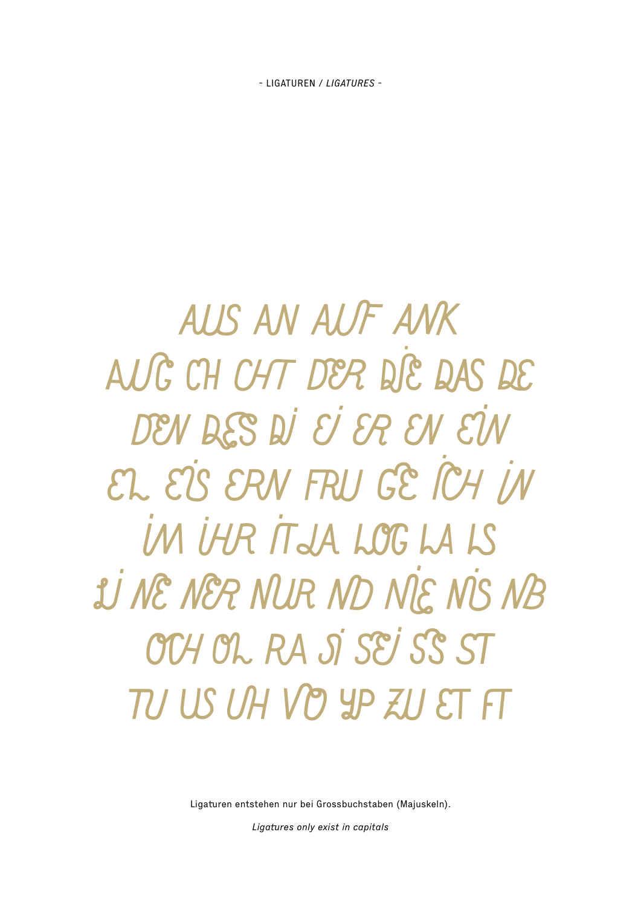- LIGATUREN / LIGATURES -

AUS AN AUF ANK AUC CH CHT DER DIE DAS DE DEN DES DI EI ER EN EIN EL EIS ERN FRU GE ICH IN IN IHR IT JA LOG LA LS **JU NE NER NUR ND NIE NIS NB** OCH OL RA SÍ SEI SS ST TI US IA VP YP ZIJ ET FT

Ligaturen entstehen nur bei Grossbuchstaben (Majuskeln).

Ligatures only exist in capitals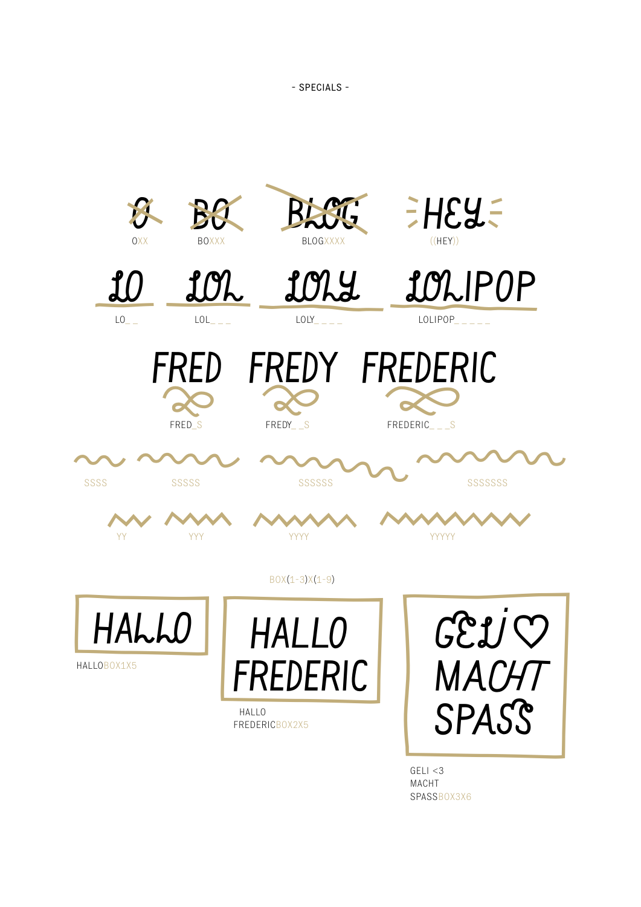

 $GELI < 3$ MACHT SPASSB0X3X6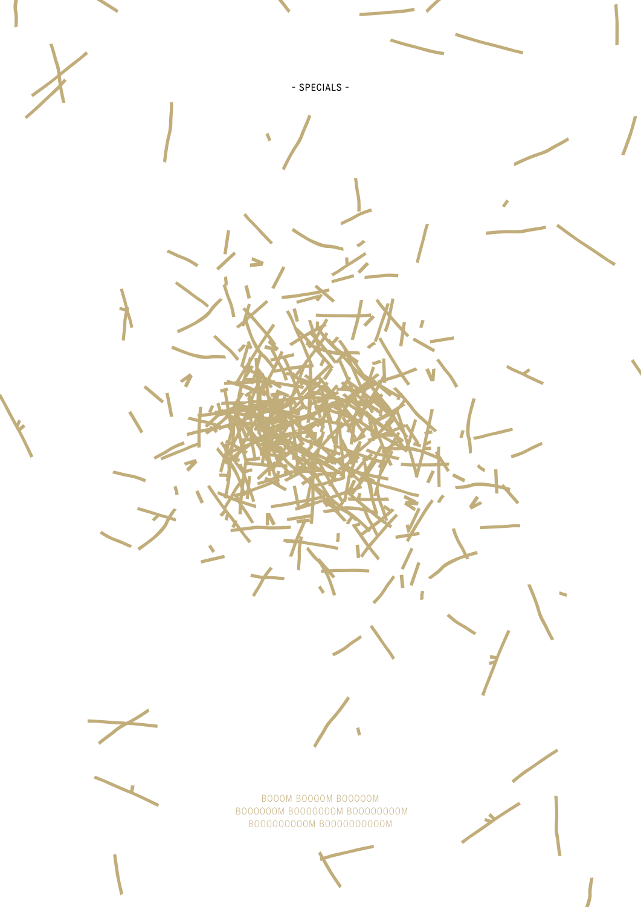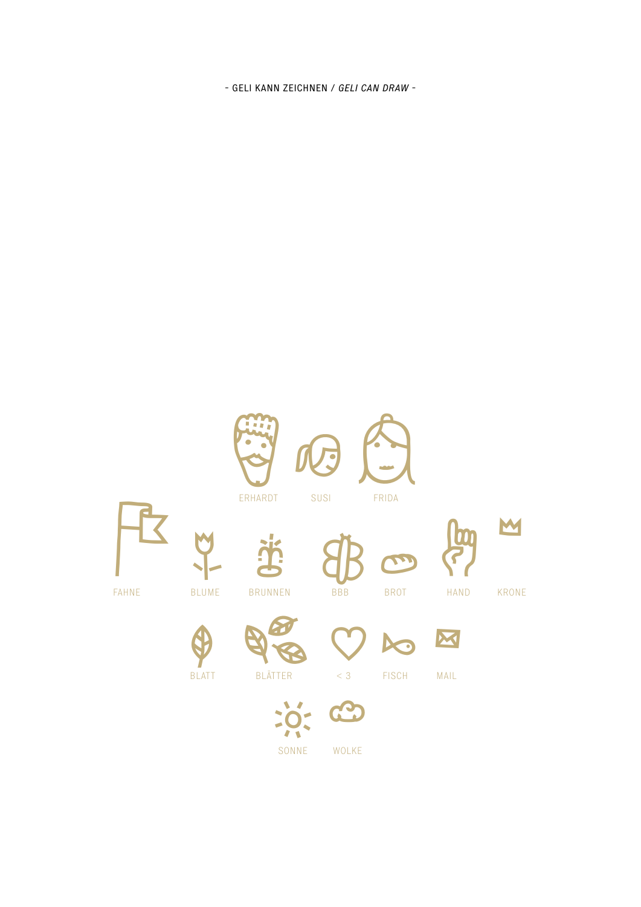- Geli kann zeichnen / geli can draw -



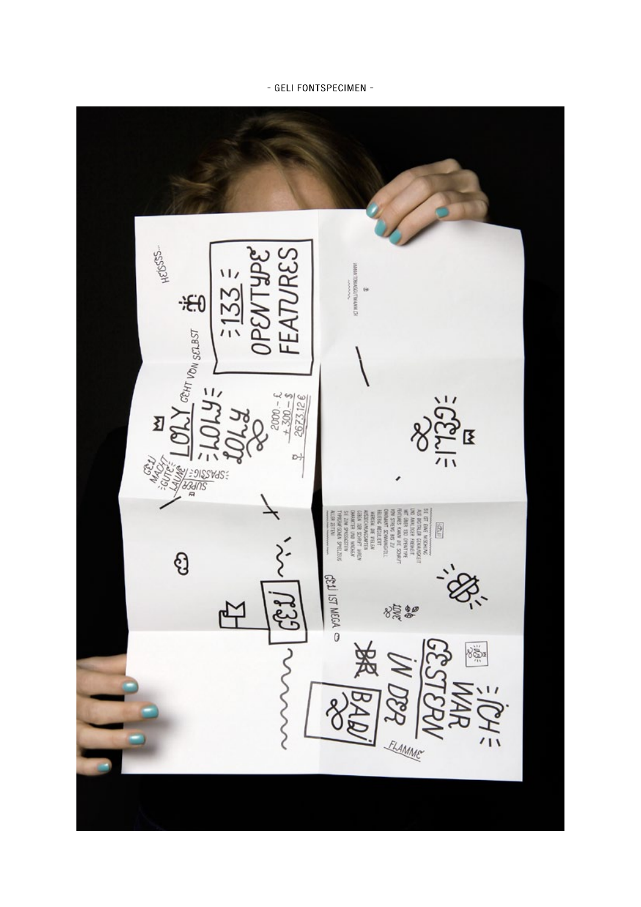## - GELI FONTSPECIMEN -

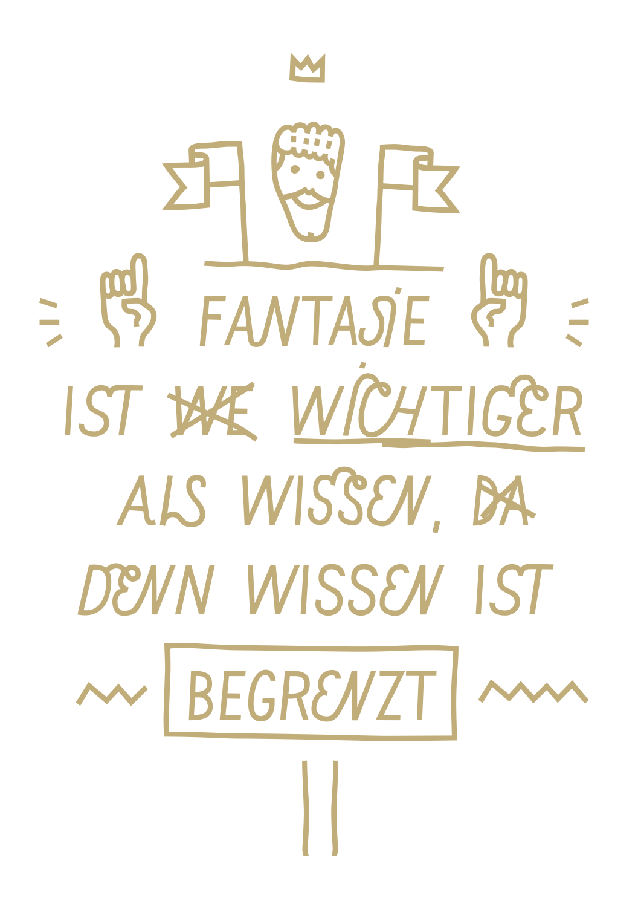